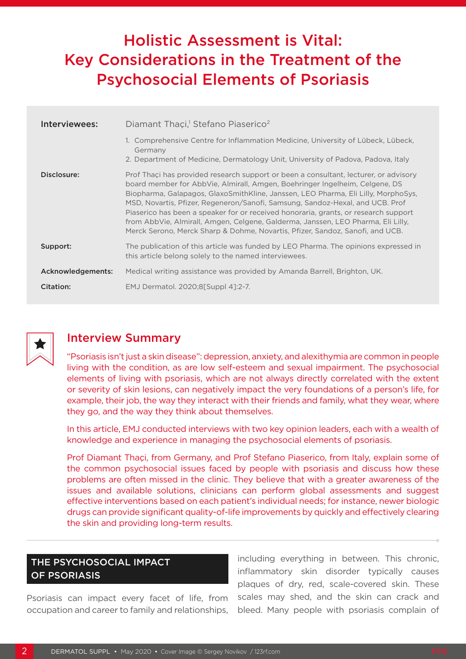# Holistic Assessment is Vital: Key Considerations in the Treatment of the Psychosocial Elements of Psoriasis

| Interviewees:     | Diamant Thaçi, <sup>1</sup> Stefano Piaserico <sup>2</sup>                                                                                                                                                                                                                                                                                                                                                                                                                                                                                                                                            |
|-------------------|-------------------------------------------------------------------------------------------------------------------------------------------------------------------------------------------------------------------------------------------------------------------------------------------------------------------------------------------------------------------------------------------------------------------------------------------------------------------------------------------------------------------------------------------------------------------------------------------------------|
|                   | 1. Comprehensive Centre for Inflammation Medicine, University of Lübeck, Lübeck,<br>Germany<br>2. Department of Medicine, Dermatology Unit, University of Padova, Padova, Italy                                                                                                                                                                                                                                                                                                                                                                                                                       |
| Disclosure:       | Prof Thaçi has provided research support or been a consultant, lecturer, or advisory<br>board member for AbbVie, Almirall, Amgen, Boehringer Ingelheim, Celgene, DS<br>Biopharma, Galapagos, GlaxoSmithKline, Janssen, LEO Pharma, Eli Lilly, MorphoSys,<br>MSD, Novartis, Pfizer, Regeneron/Sanofi, Samsung, Sandoz-Hexal, and UCB. Prof<br>Piaserico has been a speaker for or received honoraria, grants, or research support<br>from AbbVie, Almirall, Amgen, Celgene, Galderma, Janssen, LEO Pharma, Eli Lilly,<br>Merck Serono, Merck Sharp & Dohme, Novartis, Pfizer, Sandoz, Sanofi, and UCB. |
| Support:          | The publication of this article was funded by LEO Pharma. The opinions expressed in<br>this article belong solely to the named interviewees.                                                                                                                                                                                                                                                                                                                                                                                                                                                          |
| Acknowledgements: | Medical writing assistance was provided by Amanda Barrell, Brighton, UK.                                                                                                                                                                                                                                                                                                                                                                                                                                                                                                                              |
| Citation:         | EMJ Dermatol. 2020;8[Suppl 4]:2-7.                                                                                                                                                                                                                                                                                                                                                                                                                                                                                                                                                                    |



# Interview Summary

"Psoriasis isn't just a skin disease": depression, anxiety, and alexithymia are common in people living with the condition, as are low self-esteem and sexual impairment. The psychosocial elements of living with psoriasis, which are not always directly correlated with the extent or severity of skin lesions, can negatively impact the very foundations of a person's life, for example, their job, the way they interact with their friends and family, what they wear, where they go, and the way they think about themselves.

In this article, EMJ conducted interviews with two key opinion leaders, each with a wealth of knowledge and experience in managing the psychosocial elements of psoriasis.

Prof Diamant Thaçi, from Germany, and Prof Stefano Piaserico, from Italy, explain some of the common psychosocial issues faced by people with psoriasis and discuss how these problems are often missed in the clinic. They believe that with a greater awareness of the issues and available solutions, clinicians can perform global assessments and suggest effective interventions based on each patient's individual needs; for instance, newer biologic drugs can provide significant quality-of-life improvements by quickly and effectively clearing the skin and providing long-term results.

# THE PSYCHOSOCIAL IMPACT OF PSORIASIS

Psoriasis can impact every facet of life, from occupation and career to family and relationships, including everything in between. This chronic, inflammatory skin disorder typically causes plaques of dry, red, scale-covered skin. These scales may shed, and the skin can crack and bleed. Many people with psoriasis complain of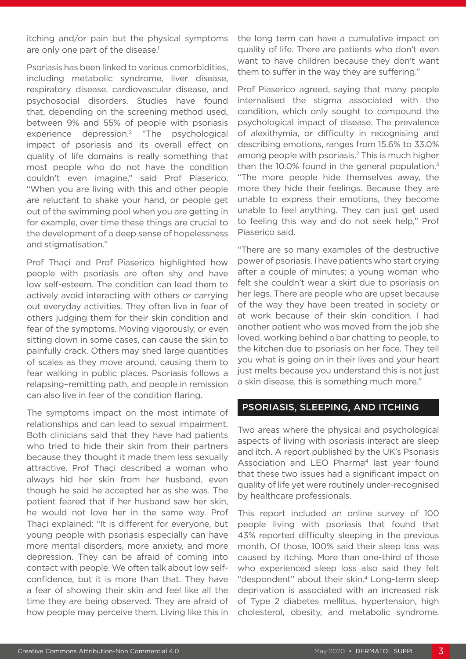itching and/or pain but the physical symptoms are only one part of the disease.<sup>1</sup>

Psoriasis has been linked to various comorbidities, including metabolic syndrome, liver disease, respiratory disease, cardiovascular disease, and psychosocial disorders. Studies have found that, depending on the screening method used, between 9% and 55% of people with psoriasis experience depression.2 "The psychological impact of psoriasis and its overall effect on quality of life domains is really something that most people who do not have the condition couldn't even imagine," said Prof Piaserico. "When you are living with this and other people are reluctant to shake your hand, or people get out of the swimming pool when you are getting in for example, over time these things are crucial to the development of a deep sense of hopelessness and stigmatisation."

Prof Thaçi and Prof Piaserico highlighted how people with psoriasis are often shy and have low self-esteem. The condition can lead them to actively avoid interacting with others or carrying out everyday activities. They often live in fear of others judging them for their skin condition and fear of the symptoms. Moving vigorously, or even sitting down in some cases, can cause the skin to painfully crack. Others may shed large quantities of scales as they move around, causing them to fear walking in public places. Psoriasis follows a relapsing–remitting path, and people in remission can also live in fear of the condition flaring.

The symptoms impact on the most intimate of relationships and can lead to sexual impairment. Both clinicians said that they have had patients who tried to hide their skin from their partners because they thought it made them less sexually attractive. Prof Thaci described a woman who always hid her skin from her husband, even though he said he accepted her as she was. The patient feared that if her husband saw her skin, he would not love her in the same way. Prof Thaçi explained: "It is different for everyone, but young people with psoriasis especially can have more mental disorders, more anxiety, and more depression. They can be afraid of coming into contact with people. We often talk about low selfconfidence, but it is more than that. They have a fear of showing their skin and feel like all the time they are being observed. They are afraid of how people may perceive them. Living like this in

the long term can have a cumulative impact on quality of life. There are patients who don't even want to have children because they don't want them to suffer in the way they are suffering."

Prof Piaserico agreed, saying that many people internalised the stigma associated with the condition, which only sought to compound the psychological impact of disease. The prevalence of alexithymia, or difficulty in recognising and describing emotions, ranges from 15.6% to 33.0% among people with psoriasis.2 This is much higher than the 10.0% found in the general population. $3$ "The more people hide themselves away, the more they hide their feelings. Because they are unable to express their emotions, they become unable to feel anything. They can just get used to feeling this way and do not seek help," Prof Piaserico said.

"There are so many examples of the destructive power of psoriasis. I have patients who start crying after a couple of minutes; a young woman who felt she couldn't wear a skirt due to psoriasis on her legs. There are people who are upset because of the way they have been treated in society or at work because of their skin condition. I had another patient who was moved from the job she loved, working behind a bar chatting to people, to the kitchen due to psoriasis on her face. They tell you what is going on in their lives and your heart just melts because you understand this is not just a skin disease, this is something much more."

#### PSORIASIS, SLEEPING, AND ITCHING

Two areas where the physical and psychological aspects of living with psoriasis interact are sleep and itch. A report published by the UK's Psoriasis Association and LEO Pharma<sup>4</sup> last year found that these two issues had a significant impact on quality of life yet were routinely under-recognised by healthcare professionals.

This report included an online survey of 100 people living with psoriasis that found that 43% reported difficulty sleeping in the previous month. Of those, 100% said their sleep loss was caused by itching. More than one-third of those who experienced sleep loss also said they felt "despondent" about their skin.<sup>4</sup> Long-term sleep deprivation is associated with an increased risk of Type 2 diabetes mellitus, hypertension, high cholesterol, obesity, and metabolic syndrome.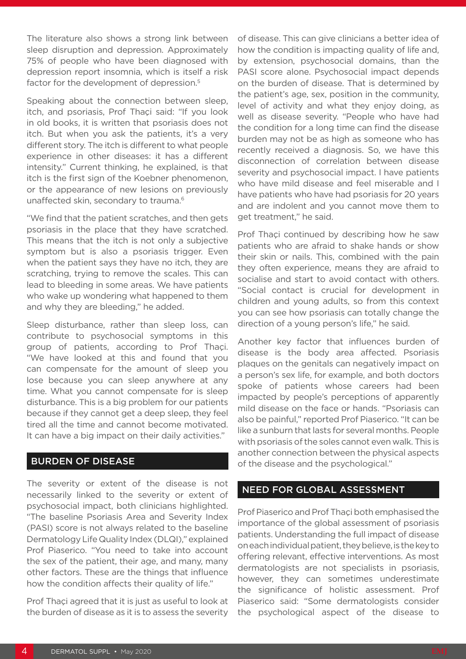The literature also shows a strong link between sleep disruption and depression. Approximately 75% of people who have been diagnosed with depression report insomnia, which is itself a risk factor for the development of depression.<sup>5</sup>

Speaking about the connection between sleep, itch, and psoriasis, Prof Thaçi said: "If you look in old books, it is written that psoriasis does not itch. But when you ask the patients, it's a very different story. The itch is different to what people experience in other diseases: it has a different intensity." Current thinking, he explained, is that itch is the first sign of the Koebner phenomenon, or the appearance of new lesions on previously unaffected skin, secondary to trauma.<sup>6</sup>

"We find that the patient scratches, and then gets psoriasis in the place that they have scratched. This means that the itch is not only a subjective symptom but is also a psoriasis trigger. Even when the patient says they have no itch, they are scratching, trying to remove the scales. This can lead to bleeding in some areas. We have patients who wake up wondering what happened to them and why they are bleeding," he added.

Sleep disturbance, rather than sleep loss, can contribute to psychosocial symptoms in this group of patients, according to Prof Thaçi. "We have looked at this and found that you can compensate for the amount of sleep you lose because you can sleep anywhere at any time. What you cannot compensate for is sleep disturbance. This is a big problem for our patients because if they cannot get a deep sleep, they feel tired all the time and cannot become motivated. It can have a big impact on their daily activities."

#### BURDEN OF DISEASE

The severity or extent of the disease is not necessarily linked to the severity or extent of psychosocial impact, both clinicians highlighted. "The baseline Psoriasis Area and Severity Index (PASI) score is not always related to the baseline Dermatology Life Quality Index (DLQI)," explained Prof Piaserico. "You need to take into account the sex of the patient, their age, and many, many other factors. These are the things that influence how the condition affects their quality of life."

Prof Thaçi agreed that it is just as useful to look at the burden of disease as it is to assess the severity

of disease. This can give clinicians a better idea of how the condition is impacting quality of life and, by extension, psychosocial domains, than the PASI score alone. Psychosocial impact depends on the burden of disease. That is determined by the patient's age, sex, position in the community, level of activity and what they enjoy doing, as well as disease severity. "People who have had the condition for a long time can find the disease burden may not be as high as someone who has recently received a diagnosis. So, we have this disconnection of correlation between disease severity and psychosocial impact. I have patients who have mild disease and feel miserable and I have patients who have had psoriasis for 20 years and are indolent and you cannot move them to get treatment," he said.

Prof Thaçi continued by describing how he saw patients who are afraid to shake hands or show their skin or nails. This, combined with the pain they often experience, means they are afraid to socialise and start to avoid contact with others. "Social contact is crucial for development in children and young adults, so from this context you can see how psoriasis can totally change the direction of a young person's life," he said.

Another key factor that influences burden of disease is the body area affected. Psoriasis plaques on the genitals can negatively impact on a person's sex life, for example, and both doctors spoke of patients whose careers had been impacted by people's perceptions of apparently mild disease on the face or hands. "Psoriasis can also be painful," reported Prof Piaserico. "It can be like a sunburn that lasts for several months. People with psoriasis of the soles cannot even walk. This is another connection between the physical aspects of the disease and the psychological."

#### NEED FOR GLOBAL ASSESSMENT

Prof Piaserico and Prof Thaçi both emphasised the importance of the global assessment of psoriasis patients. Understanding the full impact of disease on each individual patient, they believe, is the key to offering relevant, effective interventions. As most dermatologists are not specialists in psoriasis, however, they can sometimes underestimate the significance of holistic assessment. Prof Piaserico said: "Some dermatologists consider the psychological aspect of the disease to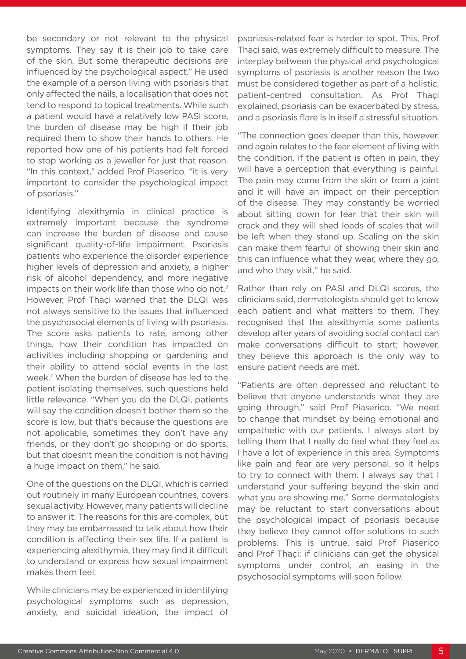be secondary or not relevant to the physical symptoms. They say it is their job to take care of the skin. But some therapeutic decisions are influenced by the psychological aspect." He used the example of a person living with psoriasis that only affected the nails, a localisation that does not tend to respond to topical treatments. While such a patient would have a relatively low PASI score, the burden of disease may be high if their job required them to show their hands to others. He reported how one of his patients had felt forced to stop working as a jeweller for just that reason. "In this context," added Prof Piaserico, "it is very important to consider the psychological impact of psoriasis."

Identifying alexithymia in clinical practice is extremely important because the syndrome can increase the burden of disease and cause significant quality-of-life impairment. Psoriasis patients who experience the disorder experience higher levels of depression and anxiety, a higher risk of alcohol dependency, and more negative impacts on their work life than those who do not.<sup>2</sup> However, Prof Thaçi warned that the DLQI was not always sensitive to the issues that influenced the psychosocial elements of living with psoriasis. The score asks patients to rate, among other things, how their condition has impacted on activities including shopping or gardening and their ability to attend social events in the last week.7 When the burden of disease has led to the patient isolating themselves, such questions held little relevance. "When you do the DLQI, patients will say the condition doesn't bother them so the score is low, but that's because the questions are not applicable, sometimes they don't have any friends, or they don't go shopping or do sports, but that doesn't mean the condition is not having a huge impact on them," he said.

One of the questions on the DLQI, which is carried out routinely in many European countries, covers sexual activity. However, many patients will decline to answer it. The reasons for this are complex, but they may be embarrassed to talk about how their condition is affecting their sex life. If a patient is experiencing alexithymia, they may find it difficult to understand or express how sexual impairment makes them feel.

While clinicians may be experienced in identifying psychological symptoms such as depression, anxiety, and suicidal ideation, the impact of

psoriasis-related fear is harder to spot. This, Prof Thaçi said, was extremely difficult to measure. The interplay between the physical and psychological symptoms of psoriasis is another reason the two must be considered together as part of a holistic, patient-centred consultation. As Prof Thaçi explained, psoriasis can be exacerbated by stress, and a psoriasis flare is in itself a stressful situation.

"The connection goes deeper than this, however, and again relates to the fear element of living with the condition. If the patient is often in pain, they will have a perception that everything is painful. The pain may come from the skin or from a joint and it will have an impact on their perception of the disease. They may constantly be worried about sitting down for fear that their skin will crack and they will shed loads of scales that will be left when they stand up. Scaling on the skin can make them fearful of showing their skin and this can influence what they wear, where they go, and who they visit," he said.

Rather than rely on PASI and DLQI scores, the clinicians said, dermatologists should get to know each patient and what matters to them. They recognised that the alexithymia some patients develop after years of avoiding social contact can make conversations difficult to start; however, they believe this approach is the only way to ensure patient needs are met.

"Patients are often depressed and reluctant to believe that anyone understands what they are going through," said Prof Piaserico. "We need to change that mindset by being emotional and empathetic with our patients. I always start by telling them that I really do feel what they feel as I have a lot of experience in this area. Symptoms like pain and fear are very personal, so it helps to try to connect with them. I always say that I understand your suffering beyond the skin and what you are showing me." Some dermatologists may be reluctant to start conversations about the psychological impact of psoriasis because they believe they cannot offer solutions to such problems. This is untrue, said Prof Piaserico and Prof Thaçi: if clinicians can get the physical symptoms under control, an easing in the psychosocial symptoms will soon follow.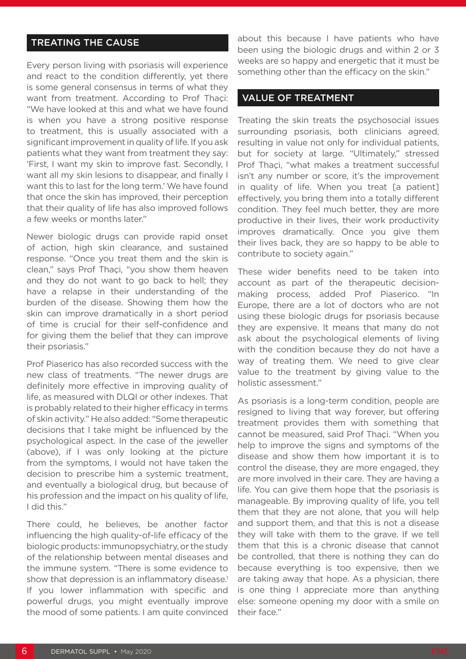# TREATING THE CAUSE

Every person living with psoriasis will experience and react to the condition differently, yet there is some general consensus in terms of what they want from treatment. According to Prof Thaçi: "We have looked at this and what we have found is when you have a strong positive response to treatment, this is usually associated with a significant improvement in quality of life. If you ask patients what they want from treatment they say: 'First, I want my skin to improve fast. Secondly, I want all my skin lesions to disappear, and finally I want this to last for the long term.' We have found that once the skin has improved, their perception that their quality of life has also improved follows a few weeks or months later."

Newer biologic drugs can provide rapid onset of action, high skin clearance, and sustained response. "Once you treat them and the skin is clean," says Prof Thaçi, "you show them heaven and they do not want to go back to hell; they have a relapse in their understanding of the burden of the disease. Showing them how the skin can improve dramatically in a short period of time is crucial for their self-confidence and for giving them the belief that they can improve their psoriasis."

Prof Piaserico has also recorded success with the new class of treatments. "The newer drugs are definitely more effective in improving quality of life, as measured with DLQI or other indexes. That is probably related to their higher efficacy in terms of skin activity." He also added: "Some therapeutic decisions that I take might be influenced by the psychological aspect. In the case of the jeweller (above), if I was only looking at the picture from the symptoms, I would not have taken the decision to prescribe him a systemic treatment, and eventually a biological drug, but because of his profession and the impact on his quality of life, I did this."

There could, he believes, be another factor influencing the high quality-of-life efficacy of the biologic products: immunopsychiatry, or the study of the relationship between mental diseases and the immune system. "There is some evidence to show that depression is an inflammatory disease.<sup>1</sup> If you lower inflammation with specific and powerful drugs, you might eventually improve the mood of some patients. I am quite convinced

about this because I have patients who have been using the biologic drugs and within 2 or 3 weeks are so happy and energetic that it must be something other than the efficacy on the skin."

### VALUE OF TREATMENT

Treating the skin treats the psychosocial issues surrounding psoriasis, both clinicians agreed, resulting in value not only for individual patients, but for society at large. "Ultimately," stressed Prof Thaçi, "what makes a treatment successful isn't any number or score, it's the improvement in quality of life. When you treat [a patient] effectively, you bring them into a totally different condition. They feel much better, they are more productive in their lives, their work productivity improves dramatically. Once you give them their lives back, they are so happy to be able to contribute to society again."

These wider benefits need to be taken into account as part of the therapeutic decisionmaking process, added Prof Piaserico. "In Europe, there are a lot of doctors who are not using these biologic drugs for psoriasis because they are expensive. It means that many do not ask about the psychological elements of living with the condition because they do not have a way of treating them. We need to give clear value to the treatment by giving value to the holistic assessment."

As psoriasis is a long-term condition, people are resigned to living that way forever, but offering treatment provides them with something that cannot be measured, said Prof Thaçi. "When you help to improve the signs and symptoms of the disease and show them how important it is to control the disease, they are more engaged, they are more involved in their care. They are having a life. You can give them hope that the psoriasis is manageable. By improving quality of life, you tell them that they are not alone, that you will help and support them, and that this is not a disease they will take with them to the grave. If we tell them that this is a chronic disease that cannot be controlled, that there is nothing they can do because everything is too expensive, then we are taking away that hope. As a physician, there is one thing I appreciate more than anything else: someone opening my door with a smile on their face."